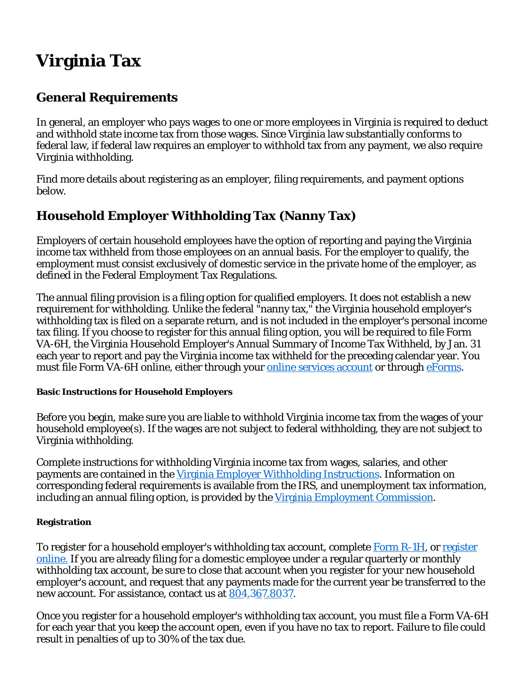# **Virginia Tax**

# **General Requirements**

In general, an employer who pays wages to one or more employees in Virginia is required to deduct and withhold state income tax from those wages. Since Virginia law substantially conforms to federal law, if federal law requires an employer to withhold tax from any payment, we also require Virginia withholding.

Find more details about registering as an employer, filing requirements, and payment options below.

# **Household Employer Withholding Tax (Nanny Tax)**

Employers of certain household employees have the option of reporting and paying the Virginia income tax withheld from those employees on an annual basis. For the employer to qualify, the employment must consist exclusively of domestic service in the private home of the employer, as defined in the Federal Employment Tax Regulations.

The annual filing provision is a filing option for qualified employers. It does not establish a new requirement for withholding. Unlike the federal "nanny tax," the Virginia household employer's withholding tax is filed on a separate return, and is not included in the employer's personal income tax filing. If you choose to register for this annual filing option, you will be required to file Form VA-6H, the Virginia Household Employer's Annual Summary of Income Tax Withheld, by Jan. 31 each year to report and pay the Virginia income tax withheld for the preceding calendar year. You must file Form VA-6H online, either through your **online services account** or through **eForms**.

#### **Basic Instructions for Household Employers**

Before you begin, make sure you are liable to withhold Virginia income tax from the wages of your household employee(s). If the wages are not subject to federal withholding, they are not subject to Virginia withholding.

Complete instructions for withholding Virginia income tax from wages, salaries, and other payments are contained in the Virginia Employer Withholding Instructions. Information on corresponding federal requirements is available from the IRS, and unemployment tax information, including an annual filing option, is provided by the Virginia Employment Commission.

# **Registration**

To register for a household employer's withholding tax account, complete Form R-1H, or register online. If you are already filing for a domestic employee under a regular quarterly or monthly withholding tax account, be sure to close that account when you register for your new household employer's account, and request that any payments made for the current year be transferred to the new account. For assistance, contact us at 804.367.8037.

Once you register for a household employer's withholding tax account, you must file a Form VA-6H for each year that you keep the account open, even if you have no tax to report. Failure to file could result in penalties of up to 30% of the tax due.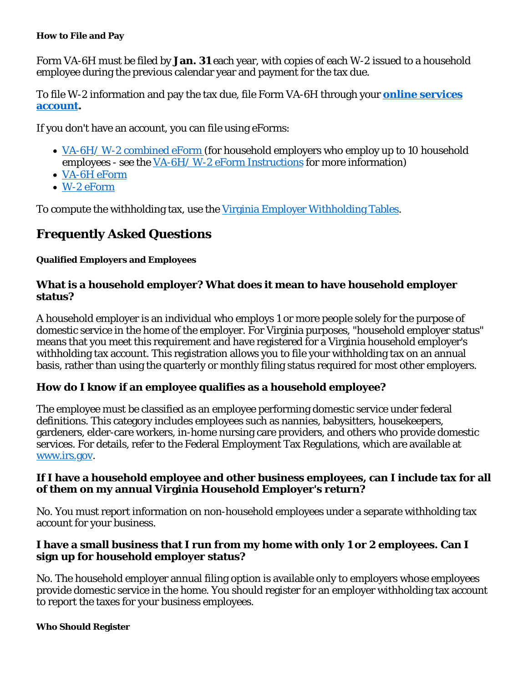#### **How to File and Pay**

Form VA-6H must be filed by **Jan. 31** each year, with copies of each W-2 issued to a household employee during the previous calendar year and payment for the tax due.

To file W-2 information and pay the tax due, file Form VA-6H through your **online services account.**

If you don't have an account, you can file using eForms:

- VA-6H/W-2 combined eForm (for household employers who employ up to 10 household employees - see the VA-6H/ W-2 eForm Instructions for more information)
- VA-6H eForm
- W-2 eForm

To compute the withholding tax, use the Virginia Employer Withholding Tables.

# **Frequently Asked Questions**

## **Qualified Employers and Employees**

## **What is a household employer? What does it mean to have household employer status?**

A household employer is an individual who employs 1 or more people solely for the purpose of domestic service in the home of the employer. For Virginia purposes, "household employer status" means that you meet this requirement and have registered for a Virginia household employer's withholding tax account. This registration allows you to file your withholding tax on an annual basis, rather than using the quarterly or monthly filing status required for most other employers.

# **How do I know if an employee qualifies as a household employee?**

The employee must be classified as an employee performing domestic service under federal definitions. This category includes employees such as nannies, babysitters, housekeepers, gardeners, elder-care workers, in-home nursing care providers, and others who provide domestic services. For details, refer to the Federal Employment Tax Regulations, which are available at www.irs.gov.

#### **If I have a household employee and other business employees, can I include tax for all of them on my annual Virginia Household Employer's return?**

No. You must report information on non-household employees under a separate withholding tax account for your business.

## **I have a small business that I run from my home with only 1 or 2 employees. Can I sign up for household employer status?**

No. The household employer annual filing option is available only to employers whose employees provide domestic service in the home. You should register for an employer withholding tax account to report the taxes for your business employees.

#### **Who Should Register**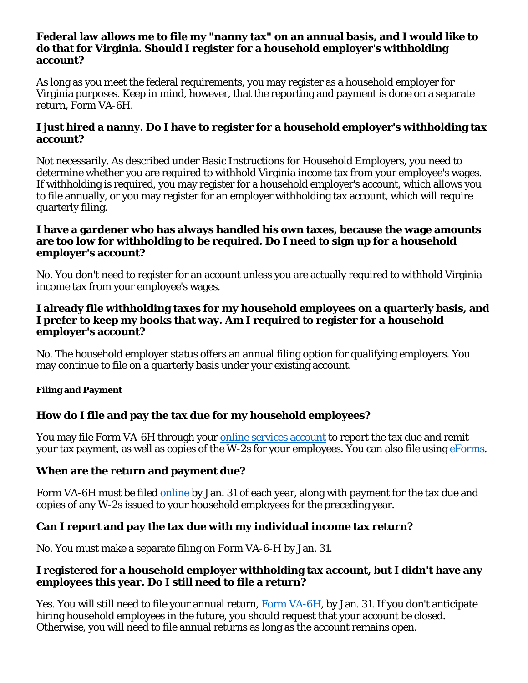#### **Federal law allows me to file my "nanny tax" on an annual basis, and I would like to do that for Virginia. Should I register for a household employer's withholding account?**

As long as you meet the federal requirements, you may register as a household employer for Virginia purposes. Keep in mind, however, that the reporting and payment is done on a separate return, Form VA-6H.

# **I just hired a nanny. Do I have to register for a household employer's withholding tax account?**

Not necessarily. As described under Basic Instructions for Household Employers, you need to determine whether you are required to withhold Virginia income tax from your employee's wages. If withholding is required, you may register for a household employer's account, which allows you to file annually, or you may register for an employer withholding tax account, which will require quarterly filing.

#### **I have a gardener who has always handled his own taxes, because the wage amounts are too low for withholding to be required. Do I need to sign up for a household employer's account?**

No. You don't need to register for an account unless you are actually required to withhold Virginia income tax from your employee's wages.

## **I already file withholding taxes for my household employees on a quarterly basis, and I prefer to keep my books that way. Am I required to register for a household employer's account?**

No. The household employer status offers an annual filing option for qualifying employers. You may continue to file on a quarterly basis under your existing account.

#### **Filing and Payment**

# **How do I file and pay the tax due for my household employees?**

You may file Form VA-6H through your online services account to report the tax due and remit your tax payment, as well as copies of the W-2s for your employees. You can also file using eForms.

# **When are the return and payment due?**

Form VA-6H must be filed online by Jan. 31 of each year, along with payment for the tax due and copies of any W-2s issued to your household employees for the preceding year.

# **Can I report and pay the tax due with my individual income tax return?**

No. You must make a separate filing on Form VA-6-H by Jan. 31.

## **I registered for a household employer withholding tax account, but I didn't have any employees this year. Do I still need to file a return?**

Yes. You will still need to file your annual return, Form VA-6H, by Jan. 31. If you don't anticipate hiring household employees in the future, you should request that your account be closed. Otherwise, you will need to file annual returns as long as the account remains open.